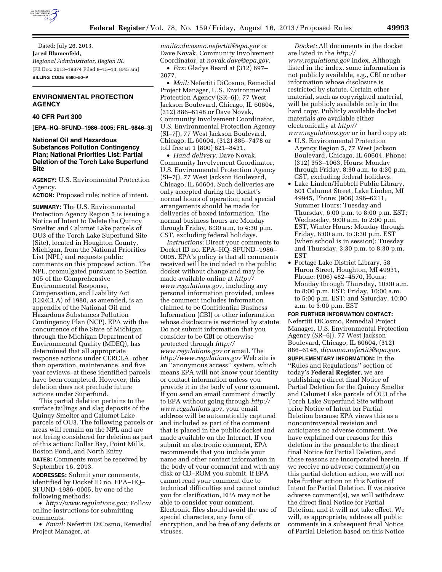

Dated: July 26, 2013. **Jared Blumenfeld,**  *Regional Administrator, Region IX.*  [FR Doc. 2013–19874 Filed 8–15–13; 8:45 am] **BILLING CODE 6560–50–P** 

## **ENVIRONMENTAL PROTECTION AGENCY**

# **40 CFR Part 300**

**[EPA–HQ–SFUND–1986–0005; FRL–9846–3]** 

## **National Oil and Hazardous Substances Pollution Contingency Plan; National Priorities List: Partial Deletion of the Torch Lake Superfund Site**

**AGENCY:** U.S. Environmental Protection Agency.

**ACTION:** Proposed rule; notice of intent.

**SUMMARY:** The U.S. Environmental Protection Agency Region 5 is issuing a Notice of Intent to Delete the Quincy Smelter and Calumet Lake parcels of OU3 of the Torch Lake Superfund Site (Site), located in Houghton County, Michigan, from the National Priorities List (NPL) and requests public comments on this proposed action. The NPL, promulgated pursuant to Section 105 of the Comprehensive Environmental Response, Compensation, and Liability Act (CERCLA) of 1980, as amended, is an appendix of the National Oil and Hazardous Substances Pollution Contingency Plan (NCP). EPA with the concurrence of the State of Michigan, through the Michigan Department of Environmental Quality (MDEQ), has determined that all appropriate response actions under CERCLA, other than operation, maintenance, and five year reviews, at these identified parcels have been completed. However, this deletion does not preclude future actions under Superfund.

This partial deletion pertains to the surface tailings and slag deposits of the Quincy Smelter and Calumet Lake parcels of OU3. The following parcels or areas will remain on the NPL and are not being considered for deletion as part of this action: Dollar Bay, Point Mills, Boston Pond, and North Entry. **DATES:** Comments must be received by

September 16, 2013. **ADDRESSES:** Submit your comments,

identified by Docket ID no. EPA–HQ– SFUND–1986–0005, by one of the following methods:

• *[http://www.regulations.gov:](http://www.regulations.gov)* Follow online instructions for submitting comments.

• *Email:* Nefertiti DiCosmo, Remedial Project Manager, at

*[mailto:dicosmo.nefertiti@epa.gov](mailto:mailto:dicosmo.nefertiti@epa.gov)* or Dave Novak, Community Involvement Coordinator, at *[novak.dave@epa.gov.](mailto:novak.dave@epa.gov)* 

• *Fax:* Gladys Beard at (312) 697– 2077.

• *Mail:* Nefertiti DiCosmo, Remedial Project Manager, U.S. Environmental Protection Agency (SR–6J), 77 West Jackson Boulevard, Chicago, IL 60604, (312) 886–6148 or Dave Novak, Community Involvement Coordinator, U.S. Environmental Protection Agency (SI–7J), 77 West Jackson Boulevard, Chicago, IL 60604, (312) 886–7478 or toll free at 1 (800) 621–8431.

• *Hand delivery:* Dave Novak, Community Involvement Coordinator, U.S. Environmental Protection Agency (SI–7J), 77 West Jackson Boulevard, Chicago, IL 60604. Such deliveries are only accepted during the docket's normal hours of operation, and special arrangements should be made for deliveries of boxed information. The normal business hours are Monday through Friday, 8:30 a.m. to 4:30 p.m. CST, excluding federal holidays.

*Instructions:* Direct your comments to Docket ID no. EPA–HQ–SFUND–1986– 0005. EPA's policy is that all comments received will be included in the public docket without change and may be made available online at *[http://](http://www.regulations.gov) [www.regulations.gov](http://www.regulations.gov)*, including any personal information provided, unless the comment includes information claimed to be Confidential Business Information (CBI) or other information whose disclosure is restricted by statute. Do not submit information that you consider to be CBI or otherwise protected through *[http://](http://www.regulations.gov) [www.regulations.gov](http://www.regulations.gov)* or email. The *<http://www.regulations.gov>* Web site is an ''anonymous access'' system, which means EPA will not know your identity or contact information unless you provide it in the body of your comment. If you send an email comment directly to EPA without going through *[http://](http://www.regulations.gov) [www.regulations.gov](http://www.regulations.gov)*, your email address will be automatically captured and included as part of the comment that is placed in the public docket and made available on the Internet. If you submit an electronic comment, EPA recommends that you include your name and other contact information in the body of your comment and with any disk or CD–ROM you submit. If EPA cannot read your comment due to technical difficulties and cannot contact you for clarification, EPA may not be able to consider your comment. Electronic files should avoid the use of special characters, any form of encryption, and be free of any defects or viruses.

*Docket:* All documents in the docket are listed in the *[http://](http://www.regulations.gov) [www.regulations.gov](http://www.regulations.gov)* index. Although listed in the index, some information is not publicly available, e.g., CBI or other information whose disclosure is restricted by statute. Certain other material, such as copyrighted material, will be publicly available only in the hard copy. Publicly available docket materials are available either electronically at *[http://](http://www.regulations.gov)*

- *[www.regulations.gov](http://www.regulations.gov)* or in hard copy at:
- U.S. Environmental Protection Agency Region 5, 77 West Jackson Boulevard, Chicago, IL 60604, Phone: (312) 353–1063, Hours: Monday through Friday, 8:30 a.m. to 4:30 p.m. CST, excluding federal holidays.
- Lake Linden/Hubbell Public Library, 601 Calumet Street, Lake Linden, MI 49945, Phone: (906) 296–6211, Summer Hours: Tuesday and Thursday, 6:00 p.m. to 8:00 p.m. EST; Wednesday, 9:00 a.m. to 2:00 p.m. EST, Winter Hours: Monday through Friday, 8:00 a.m. to 3:30 p.m. EST (when school is in session); Tuesday and Thursday, 3:30 p.m. to 8:30 p.m. EST
- Portage Lake District Library, 58 Huron Street, Houghton, MI 49931, Phone: (906) 482–4570, Hours: Monday through Thursday, 10:00 a.m. to 8:00 p.m. EST; Friday, 10:00 a.m. to 5:00 p.m. EST; and Saturday, 10:00 a.m. to 3:00 p.m. EST

**FOR FURTHER INFORMATION CONTACT:**  Nefertiti DiCosmo, Remedial Project Manager, U.S. Environmental Protection Agency (SR–6J), 77 West Jackson Boulevard, Chicago, IL 60604, (312) 886–6148, *[dicosmo.nefertiti@epa.gov.](mailto:dicosmo.nefertiti@epa.gov)* 

**SUPPLEMENTARY INFORMATION:** In the ''Rules and Regulations'' section of today's **Federal Register**, we are publishing a direct final Notice of Partial Deletion for the Quincy Smelter and Calumet Lake parcels of OU3 of the Torch Lake Superfund Site without prior Notice of Intent for Partial Deletion because EPA views this as a noncontroversial revision and anticipates no adverse comment. We have explained our reasons for this deletion in the preamble to the direct final Notice for Partial Deletion, and those reasons are incorporated herein. If we receive no adverse comment(s) on this partial deletion action, we will not take further action on this Notice of Intent for Partial Deletion. If we receive adverse comment(s), we will withdraw the direct final Notice for Partial Deletion, and it will not take effect. We will, as appropriate, address all public comments in a subsequent final Notice of Partial Deletion based on this Notice